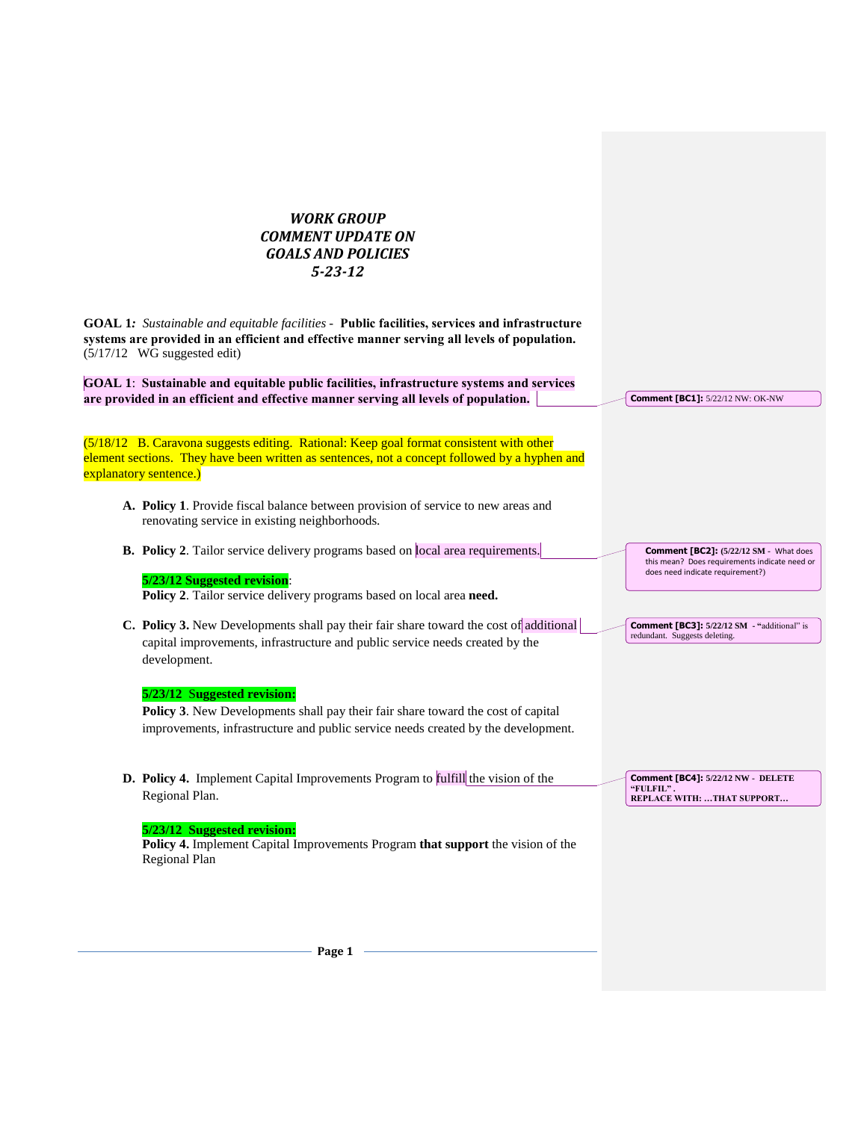# *WORK GROUP COMMENT UPDATE ON GOALS AND POLICIES 5-23-12*

**GOAL 1***: Sustainable and equitable facilities -* **Public facilities, services and infrastructure systems are provided in an efficient and effective manner serving all levels of population.** (5/17/12 WG suggested edit)

**GOAL 1**: **Sustainable and equitable public facilities, infrastructure systems and services are provided in an efficient and effective manner serving all levels of population.**

(5/18/12 B. Caravona suggests editing. Rational: Keep goal format consistent with other element sections. They have been written as sentences, not a concept followed by a hyphen and explanatory sentence.)

- **A. Policy 1**. Provide fiscal balance between provision of service to new areas and renovating service in existing neighborhoods.
- **B. Policy 2**. Tailor service delivery programs based on local area requirements.

# **5/23/12 Suggested revision**:

**Policy 2**. Tailor service delivery programs based on local area **need.**

**C. Policy 3.** New Developments shall pay their fair share toward the cost of additional capital improvements, infrastructure and public service needs created by the development.

# **5/23/12** S**uggested revision:**

**Policy 3**. New Developments shall pay their fair share toward the cost of capital improvements, infrastructure and public service needs created by the development.

**D. Policy 4.**Implement Capital Improvements Program to fulfill the vision of the Regional Plan.

**Comment [BC4]: 5/22/12 NW - DELETE "FULFIL" . REPLACE WITH: …THAT SUPPORT…** 

**Comment [BC1]:** 5/22/12 NW: OK-NW

**Comment [BC2]: (5/22/12 SM -** What does this mean? Does requirements indicate need or does need indicate requirement?)

**Comment [BC3]: 5/22/12 SM - "**additional" is

redundant. Suggests deleting.

### **5/23/12 Suggested revision:**

**Policy 4.** Implement Capital Improvements Program **that support** the vision of the Regional Plan

**Page 1**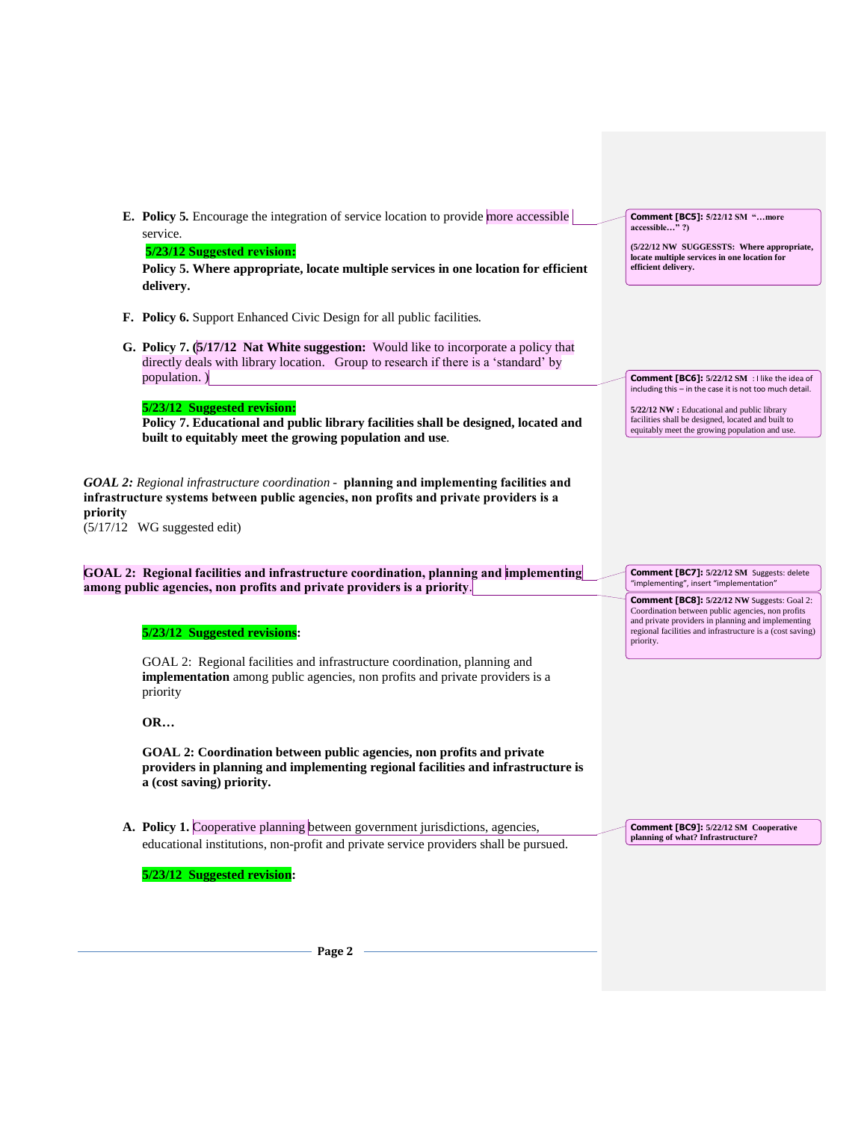|          | E. Policy 5. Encourage the integration of service location to provide more accessible<br>service.<br>5/23/12 Suggested revision:<br>Policy 5. Where appropriate, locate multiple services in one location for efficient<br>delivery. | <b>Comment [BC5]:</b> 5/22/12 SM "more<br>accessible"?)<br>(5/22/12 NW SUGGESSTS: Where appropriate,<br>locate multiple services in one location for<br>efficient delivery.                                                             |
|----------|--------------------------------------------------------------------------------------------------------------------------------------------------------------------------------------------------------------------------------------|-----------------------------------------------------------------------------------------------------------------------------------------------------------------------------------------------------------------------------------------|
|          | <b>F. Policy 6.</b> Support Enhanced Civic Design for all public facilities.                                                                                                                                                         |                                                                                                                                                                                                                                         |
|          | <b>G. Policy 7. (5/17/12 Nat White suggestion:</b> Would like to incorporate a policy that<br>directly deals with library location. Group to research if there is a 'standard' by<br>population.)                                    | Comment [BC6]: 5/22/12 SM : I like the idea of<br>including this - in the case it is not too much detail.                                                                                                                               |
|          | 5/23/12 Suggested revision:<br>Policy 7. Educational and public library facilities shall be designed, located and<br>built to equitably meet the growing population and use.                                                         | 5/22/12 NW : Educational and public library<br>facilities shall be designed, located and built to<br>equitably meet the growing population and use.                                                                                     |
| priority | <b>GOAL 2:</b> Regional infrastructure coordination - planning and implementing facilities and<br>infrastructure systems between public agencies, non profits and private providers is a<br>$(5/17/12$ WG suggested edit)            |                                                                                                                                                                                                                                         |
|          | GOAL 2: Regional facilities and infrastructure coordination, planning and implementing<br>among public agencies, non profits and private providers is a priority.                                                                    | Comment [BC7]: 5/22/12 SM Suggests: delete<br>"implementing", insert "implementation"                                                                                                                                                   |
|          | 5/23/12 Suggested revisions:<br>GOAL 2: Regional facilities and infrastructure coordination, planning and<br><b>implementation</b> among public agencies, non profits and private providers is a                                     | <b>Comment [BC8]:</b> 5/22/12 NW Suggests: Goal 2:<br>Coordination between public agencies, non profits<br>and private providers in planning and implementing<br>regional facilities and infrastructure is a (cost saving)<br>priority. |
|          | priority                                                                                                                                                                                                                             |                                                                                                                                                                                                                                         |
|          | <b>OR</b>                                                                                                                                                                                                                            |                                                                                                                                                                                                                                         |
|          | GOAL 2: Coordination between public agencies, non profits and private<br>providers in planning and implementing regional facilities and infrastructure is<br>a (cost saving) priority.                                               |                                                                                                                                                                                                                                         |
|          | A. Policy 1. Cooperative planning between government jurisdictions, agencies,                                                                                                                                                        | <b>Comment [BC9]:</b> 5/22/12 SM Cooperative                                                                                                                                                                                            |
|          | educational institutions, non-profit and private service providers shall be pursued.                                                                                                                                                 | planning of what? Infrastructure?                                                                                                                                                                                                       |
|          | 5/23/12 Suggested revision:                                                                                                                                                                                                          |                                                                                                                                                                                                                                         |
|          |                                                                                                                                                                                                                                      |                                                                                                                                                                                                                                         |
|          |                                                                                                                                                                                                                                      |                                                                                                                                                                                                                                         |

**Page 2**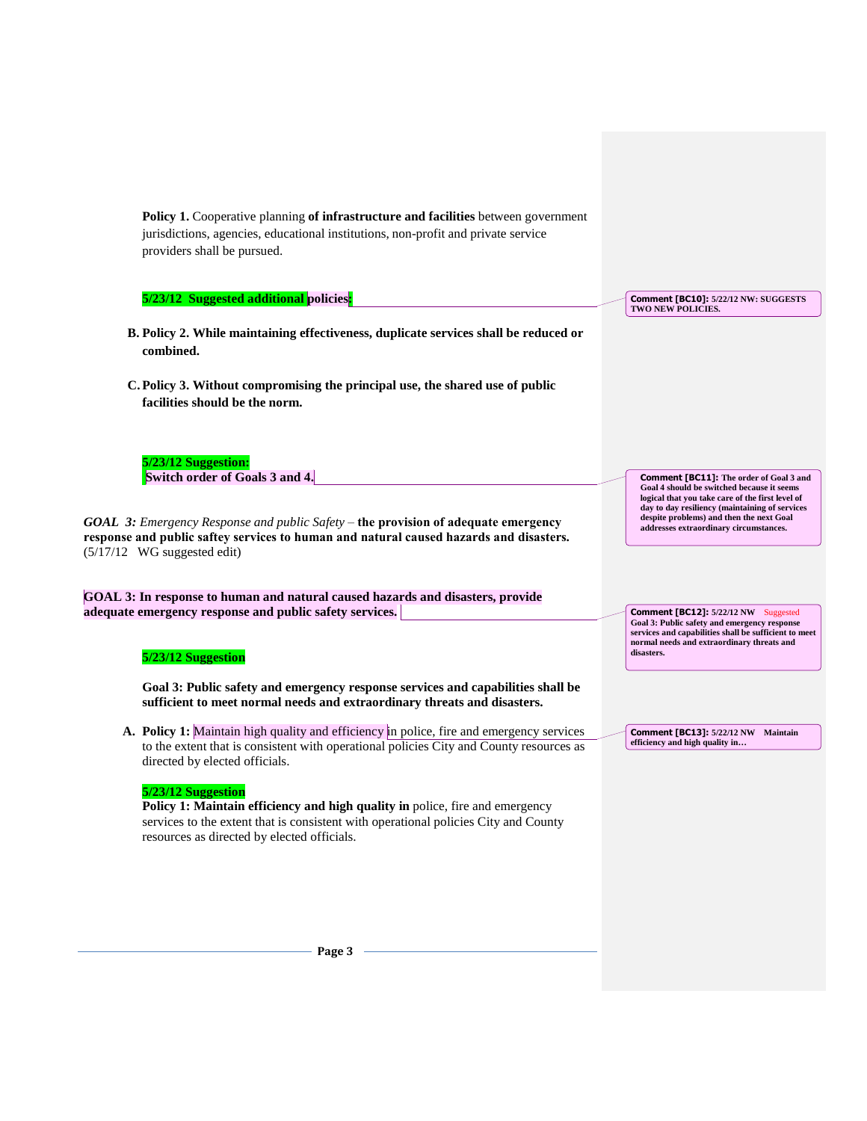| Policy 1. Cooperative planning of infrastructure and facilities between government<br>jurisdictions, agencies, educational institutions, non-profit and private service<br>providers shall be pursued.                                   |                                                                                                                                                                                                           |
|------------------------------------------------------------------------------------------------------------------------------------------------------------------------------------------------------------------------------------------|-----------------------------------------------------------------------------------------------------------------------------------------------------------------------------------------------------------|
| 5/23/12 Suggested additional policies:                                                                                                                                                                                                   | Comment [BC10]: 5/22/12 NW: SUGGESTS<br>TWO NEW POLICIES.                                                                                                                                                 |
| B. Policy 2. While maintaining effectiveness, duplicate services shall be reduced or<br>combined.                                                                                                                                        |                                                                                                                                                                                                           |
| C. Policy 3. Without compromising the principal use, the shared use of public<br>facilities should be the norm.                                                                                                                          |                                                                                                                                                                                                           |
| 5/23/12 Suggestion:<br>Switch order of Goals 3 and 4.                                                                                                                                                                                    | <b>Comment [BC11]:</b> The order of Goal 3 and<br>Goal 4 should be switched because it seems                                                                                                              |
| <b>GOAL 3:</b> Emergency Response and public Safety – the provision of adequate emergency<br>response and public saftey services to human and natural caused hazards and disasters.<br>$(5/17/12$ WG suggested edit)                     | logical that you take care of the first level of<br>day to day resiliency (maintaining of services<br>despite problems) and then the next Goal<br>addresses extraordinary circumstances.                  |
| GOAL 3: In response to human and natural caused hazards and disasters, provide                                                                                                                                                           |                                                                                                                                                                                                           |
| adequate emergency response and public safety services.<br>5/23/12 Suggestion                                                                                                                                                            | Comment [BC12]: 5/22/12 NW Suggested<br>Goal 3: Public safety and emergency response<br>services and capabilities shall be sufficient to meet<br>normal needs and extraordinary threats and<br>disasters. |
| Goal 3: Public safety and emergency response services and capabilities shall be<br>sufficient to meet normal needs and extraordinary threats and disasters.                                                                              |                                                                                                                                                                                                           |
| A. Policy 1: Maintain high quality and efficiency in police, fire and emergency services<br>to the extent that is consistent with operational policies City and County resources as<br>directed by elected officials.                    | Comment [BC13]: 5/22/12 NW Maintain<br>efficiency and high quality in                                                                                                                                     |
| 5/23/12 Suggestion<br>Policy 1: Maintain efficiency and high quality in police, fire and emergency<br>services to the extent that is consistent with operational policies City and County<br>resources as directed by elected officials. |                                                                                                                                                                                                           |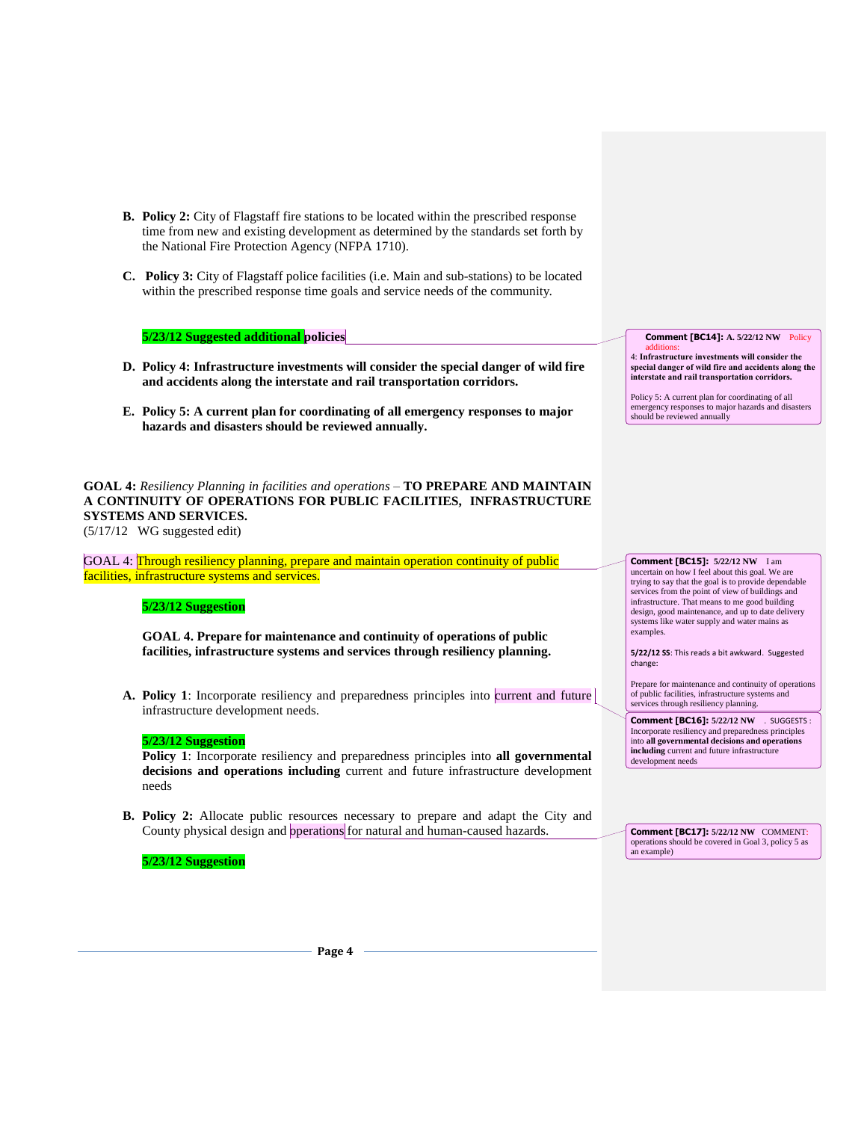- **B. Policy 2:** City of Flagstaff fire stations to be located within the prescribed response time from new and existing development as determined by the standards set forth by the National Fire Protection Agency (NFPA 1710).
- **C. Policy 3:** City of Flagstaff police facilities (i.e. Main and sub-stations) to be located within the prescribed response time goals and service needs of the community.

## **5/23/12 Suggested additional policies**

- **D. Policy 4: Infrastructure investments will consider the special danger of wild fire and accidents along the interstate and rail transportation corridors.**
- **E. Policy 5: A current plan for coordinating of all emergency responses to major hazards and disasters should be reviewed annually.**

**GOAL 4:** *Resiliency Planning in facilities and operations –* **TO PREPARE AND MAINTAIN A CONTINUITY OF OPERATIONS FOR PUBLIC FACILITIES, INFRASTRUCTURE SYSTEMS AND SERVICES.**  (5/17/12 WG suggested edit)

GOAL 4: Through resiliency planning, prepare and maintain operation continuity of public facilities, infrastructure systems and services.

### **5/23/12 Suggestion**

**GOAL 4. Prepare for maintenance and continuity of operations of public facilities, infrastructure systems and services through resiliency planning.**

**A. Policy 1**: Incorporate resiliency and preparedness principles into current and future infrastructure development needs.

#### **5/23/12 Suggestion**

**Policy 1**: Incorporate resiliency and preparedness principles into **all governmental decisions and operations including** current and future infrastructure development needs

**B. Policy 2:** Allocate public resources necessary to prepare and adapt the City and County physical design and operations for natural and human-caused hazards.

#### **5/23/12 Suggestion**

**Comment [BC14]: A. 5/22/12 NW** Policy

additions: 4: **Infrastructure investments will consider the special danger of wild fire and accidents along the interstate and rail transportation corridors.**

Policy 5: A current plan for coordinating of all emergency responses to major hazards and disasters should be reviewed annually

**Comment [BC15]: 5/22/12 NW** I am uncertain on how I feel about this goal. We are trying to say that the goal is to provide dependable services from the point of view of buildings and infrastructure. That means to me good building design, good maintenance, and up to date delivery systems like water supply and water mains as examples.

**5/22/12 SS**: This reads a bit awkward. Suggested change:

Prepare for maintenance and continuity of operations of public facilities, infrastructure systems and services through resiliency planning.

**Comment [BC16]: 5/22/12 NW** . SUGGESTS : Incorporate resiliency and preparedness principles into **all governmental decisions and operations including** current and future infrastructure development needs

**Comment [BC17]: 5/22/12 NW** COMMENT: operations should be covered in Goal 3, policy 5 as an example)